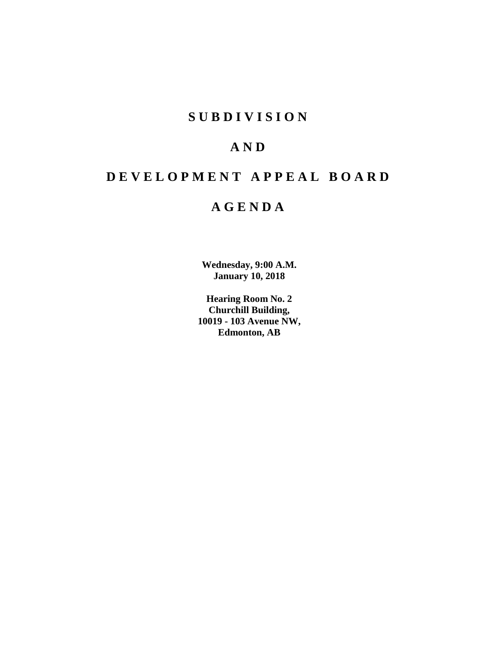## **SUBDIVISION**

## **AND**

## **DEVELOPMENT APPEAL BOARD**

## **AGENDA**

**Wednesday, 9:00 A.M. January 10, 2018**

**Hearing Room No. 2 Churchill Building, 10019 - 103 Avenue NW, Edmonton, AB**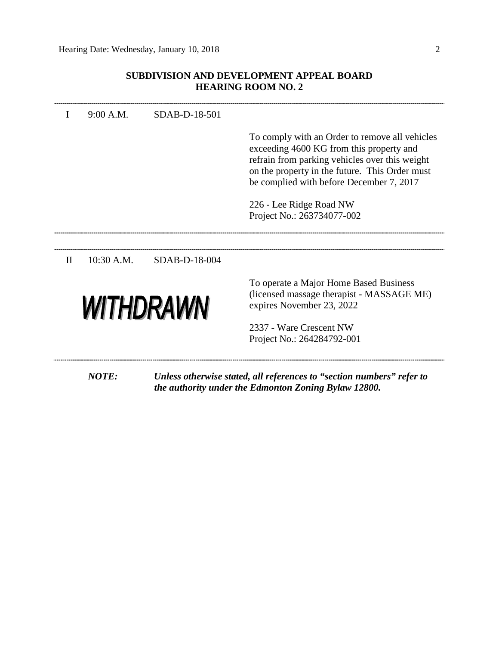## **SUBDIVISION AND DEVELOPMENT APPEAL BOARD HEARING ROOM NO. 2**

| $\mathbf I$      | 9:00 A.M.    | SDAB-D-18-501 |                                                                                                                                                                                                                                            |
|------------------|--------------|---------------|--------------------------------------------------------------------------------------------------------------------------------------------------------------------------------------------------------------------------------------------|
|                  |              |               | To comply with an Order to remove all vehicles<br>exceeding 4600 KG from this property and<br>refrain from parking vehicles over this weight<br>on the property in the future. This Order must<br>be complied with before December 7, 2017 |
|                  |              |               | 226 - Lee Ridge Road NW<br>Project No.: 263734077-002                                                                                                                                                                                      |
| $\mathbf{I}$     | $10:30$ A.M. | SDAB-D-18-004 |                                                                                                                                                                                                                                            |
| <b>WITHDRAWN</b> |              |               | To operate a Major Home Based Business<br>(licensed massage therapist - MASSAGE ME)<br>expires November 23, 2022                                                                                                                           |
|                  |              |               | 2337 - Ware Crescent NW<br>Project No.: 264284792-001                                                                                                                                                                                      |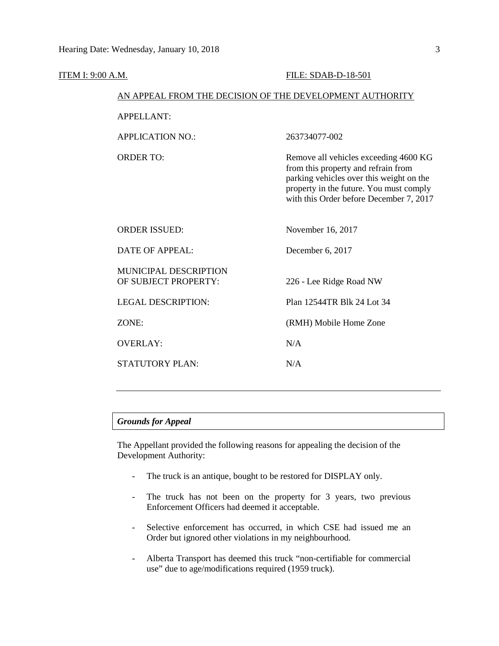| <b>ITEM I: 9:00 A.M.</b> |                                                          | FILE: SDAB-D-18-501                                                                                                                                                                                            |  |  |  |  |
|--------------------------|----------------------------------------------------------|----------------------------------------------------------------------------------------------------------------------------------------------------------------------------------------------------------------|--|--|--|--|
|                          | AN APPEAL FROM THE DECISION OF THE DEVELOPMENT AUTHORITY |                                                                                                                                                                                                                |  |  |  |  |
|                          | <b>APPELLANT:</b>                                        |                                                                                                                                                                                                                |  |  |  |  |
|                          | <b>APPLICATION NO.:</b>                                  | 263734077-002                                                                                                                                                                                                  |  |  |  |  |
|                          | <b>ORDER TO:</b>                                         | Remove all vehicles exceeding 4600 KG<br>from this property and refrain from<br>parking vehicles over this weight on the<br>property in the future. You must comply<br>with this Order before December 7, 2017 |  |  |  |  |
|                          | <b>ORDER ISSUED:</b>                                     | November 16, 2017                                                                                                                                                                                              |  |  |  |  |
|                          | <b>DATE OF APPEAL:</b>                                   | December 6, 2017                                                                                                                                                                                               |  |  |  |  |
|                          | <b>MUNICIPAL DESCRIPTION</b><br>OF SUBJECT PROPERTY:     | 226 - Lee Ridge Road NW                                                                                                                                                                                        |  |  |  |  |
|                          | <b>LEGAL DESCRIPTION:</b>                                | Plan 12544TR Blk 24 Lot 34                                                                                                                                                                                     |  |  |  |  |
|                          | ZONE:                                                    | (RMH) Mobile Home Zone                                                                                                                                                                                         |  |  |  |  |
|                          | <b>OVERLAY:</b>                                          | N/A                                                                                                                                                                                                            |  |  |  |  |
|                          | STATUTORY PLAN:                                          | N/A                                                                                                                                                                                                            |  |  |  |  |
|                          |                                                          |                                                                                                                                                                                                                |  |  |  |  |

## *Grounds for Appeal*

The Appellant provided the following reasons for appealing the decision of the Development Authority:

- The truck is an antique, bought to be restored for DISPLAY only.
- The truck has not been on the property for 3 years, two previous Enforcement Officers had deemed it acceptable.
- Selective enforcement has occurred, in which CSE had issued me an Order but ignored other violations in my neighbourhood.
- Alberta Transport has deemed this truck "non-certifiable for commercial use" due to age/modifications required (1959 truck).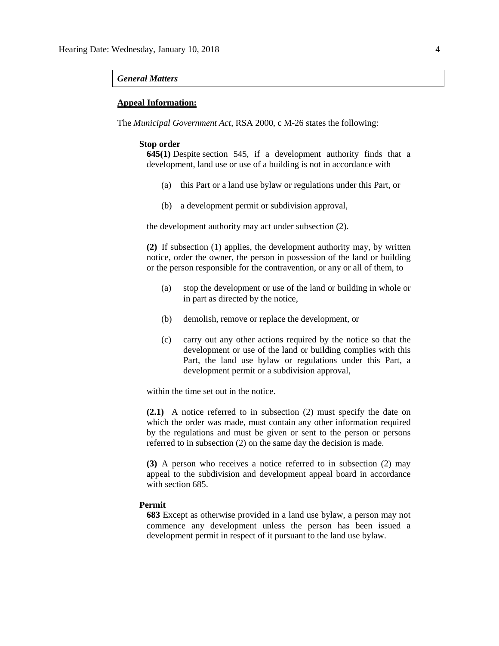### *General Matters*

## **Appeal Information:**

The *Municipal Government Act*, RSA 2000, c M-26 states the following:

#### **Stop order**

**645(1)** Despite [section 545,](https://www.canlii.org/en/ab/laws/stat/rsa-2000-c-m-26/latest/rsa-2000-c-m-26.html%23sec545_smooth) if a development authority finds that a development, land use or use of a building is not in accordance with

- (a) this Part or a land use bylaw or regulations under this Part, or
- (b) a development permit or subdivision approval,

the development authority may act under subsection (2).

**(2)** If subsection (1) applies, the development authority may, by written notice, order the owner, the person in possession of the land or building or the person responsible for the contravention, or any or all of them, to

- (a) stop the development or use of the land or building in whole or in part as directed by the notice,
- (b) demolish, remove or replace the development, or
- (c) carry out any other actions required by the notice so that the development or use of the land or building complies with this Part, the land use bylaw or regulations under this Part, a development permit or a subdivision approval,

within the time set out in the notice.

**(2.1)** A notice referred to in subsection (2) must specify the date on which the order was made, must contain any other information required by the regulations and must be given or sent to the person or persons referred to in subsection (2) on the same day the decision is made.

**(3)** A person who receives a notice referred to in subsection (2) may appeal to the subdivision and development appeal board in accordance with [section 685.](https://www.canlii.org/en/ab/laws/stat/rsa-2000-c-m-26/latest/rsa-2000-c-m-26.html%23sec685_smooth)

#### **Permit**

**683** Except as otherwise provided in a land use bylaw, a person may not commence any development unless the person has been issued a development permit in respect of it pursuant to the land use bylaw.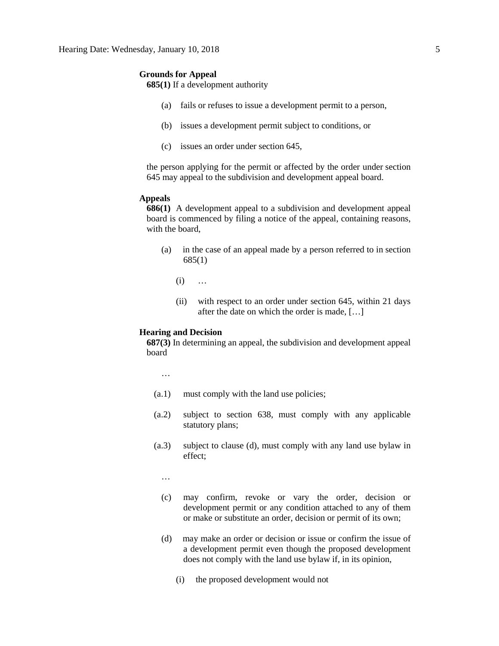#### **Grounds for Appeal**

**685(1)** If a development authority

- (a) fails or refuses to issue a development permit to a person,
- (b) issues a development permit subject to conditions, or
- (c) issues an order under section 645,

the person applying for the permit or affected by the order under section 645 may appeal to the subdivision and development appeal board.

## **Appeals**

**686(1)** A development appeal to a subdivision and development appeal board is commenced by filing a notice of the appeal, containing reasons, with the board,

- (a) in the case of an appeal made by a person referred to in section 685(1)
	- (i) …
	- (ii) with respect to an order under section 645, within 21 days after the date on which the order is made, […]

## **Hearing and Decision**

**687(3)** In determining an appeal, the subdivision and development appeal board

…

- (a.1) must comply with the land use policies;
- (a.2) subject to section 638, must comply with any applicable statutory plans;
- (a.3) subject to clause (d), must comply with any land use bylaw in effect;

…

- (c) may confirm, revoke or vary the order, decision or development permit or any condition attached to any of them or make or substitute an order, decision or permit of its own;
- (d) may make an order or decision or issue or confirm the issue of a development permit even though the proposed development does not comply with the land use bylaw if, in its opinion,
	- (i) the proposed development would not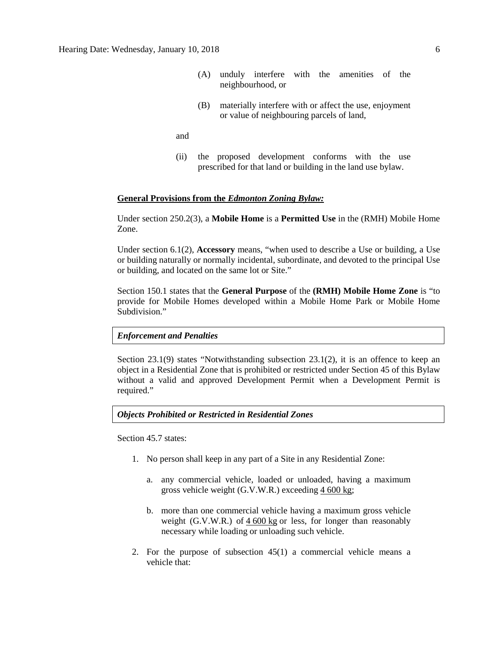- (A) unduly interfere with the amenities of the neighbourhood, or
- (B) materially interfere with or affect the use, enjoyment or value of neighbouring parcels of land,

and

(ii) the proposed development conforms with the use prescribed for that land or building in the land use bylaw.

### **General Provisions from the** *Edmonton Zoning Bylaw:*

Under section 250.2(3), a **Mobile Home** is a **Permitted Use** in the (RMH) Mobile Home Zone.

Under section 6.1(2), **Accessory** means, "when used to describe a Use or building, a Use or building naturally or normally incidental, subordinate, and devoted to the principal Use or building, and located on the same lot or Site."

Section 150.1 states that the **General Purpose** of the **(RMH) Mobile Home Zone** is "to provide for Mobile Homes developed within a Mobile Home Park or Mobile Home Subdivision."

#### *Enforcement and Penalties*

Section 23.1(9) states "Notwithstanding subsection 23.1(2), it is an offence to keep an object in a Residential Zone that is prohibited or restricted under Section 45 of this Bylaw without a valid and approved Development Permit when a Development Permit is required."

#### *Objects Prohibited or Restricted in Residential Zones*

Section 45.7 states:

- 1. No person shall keep in any part of a Site in any Residential Zone:
	- a. any commercial vehicle, loaded or unloaded, having a maximum gross vehicle weight (G.V.W.R.) exceeding 4 [600](javascript:void(0);) kg;
	- b. more than one commercial vehicle having a maximum gross vehicle weight (G.V.W.R.) of  $4\,600 \text{ kg}$  $4\,600 \text{ kg}$  $4\,600 \text{ kg}$  or less, for longer than reasonably necessary while loading or unloading such vehicle.
- 2. For the purpose of subsection 45(1) a commercial vehicle means a vehicle that: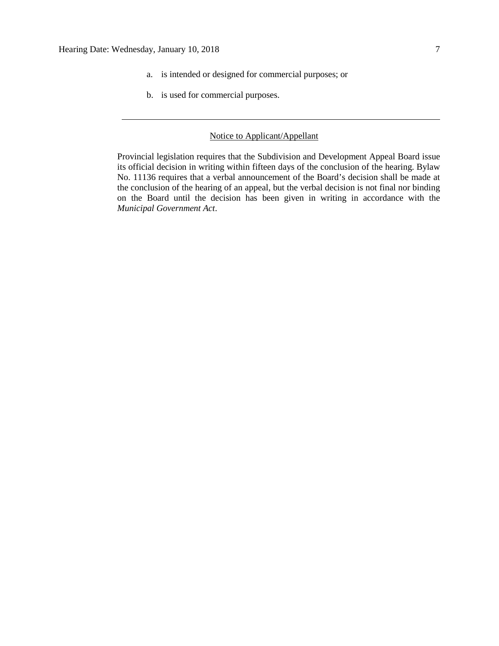- a. is intended or designed for commercial purposes; or
- b. is used for commercial purposes.

## Notice to Applicant/Appellant

Provincial legislation requires that the Subdivision and Development Appeal Board issue its official decision in writing within fifteen days of the conclusion of the hearing. Bylaw No. 11136 requires that a verbal announcement of the Board's decision shall be made at the conclusion of the hearing of an appeal, but the verbal decision is not final nor binding on the Board until the decision has been given in writing in accordance with the *Municipal Government Act*.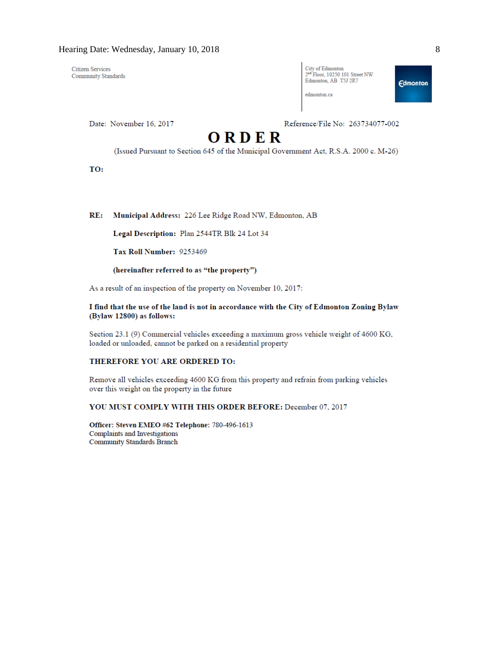**Citizen Services** Community Standards

| City of Edmonton                           |
|--------------------------------------------|
| 2 <sup>nd</sup> Floor, 10250 101 Street NW |
| Edmonton, AB T5J 2R7                       |
|                                            |

**Edmonton** 

edmonton.ca

Date: November 16, 2017

Reference/File No: 263734077-002

# ORDER

(Issued Pursuant to Section 645 of the Municipal Government Act, R.S.A. 2000 c. M-26)

TO:

 $RE:$ Municipal Address: 226 Lee Ridge Road NW, Edmonton, AB

Legal Description: Plan 2544TR Blk 24 Lot 34

Tax Roll Number: 9253469

#### (hereinafter referred to as "the property")

As a result of an inspection of the property on November 10, 2017:

#### I find that the use of the land is not in accordance with the City of Edmonton Zoning Bylaw (Bylaw 12800) as follows:

Section 23.1 (9) Commercial vehicles exceeding a maximum gross vehicle weight of 4600 KG, loaded or unloaded, cannot be parked on a residential property

#### THEREFORE YOU ARE ORDERED TO:

Remove all vehicles exceeding 4600 KG from this property and refrain from parking vehicles over this weight on the property in the future

YOU MUST COMPLY WITH THIS ORDER BEFORE: December 07, 2017

Officer: Steven EMEO #62 Telephone: 780-496-1613 Complaints and Investigations **Community Standards Branch**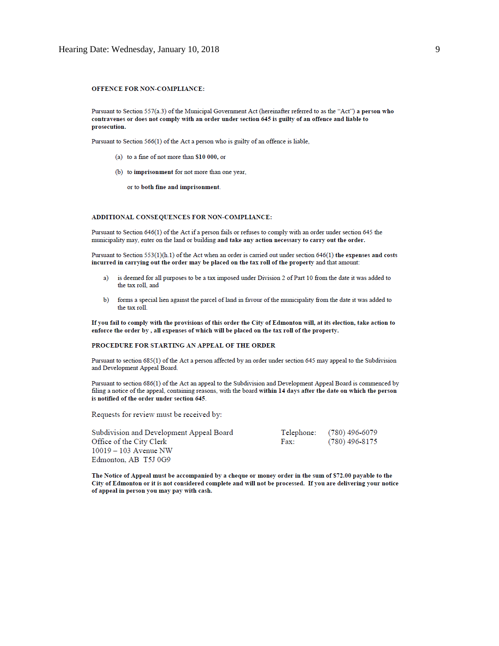#### OFFENCE FOR NON-COMPLIANCE:

Pursuant to Section 557(a.3) of the Municipal Government Act (hereinafter referred to as the "Act") a person who contravenes or does not comply with an order under section 645 is guilty of an offence and liable to prosecution.

Pursuant to Section 566(1) of the Act a person who is guilty of an offence is liable,

- (a) to a fine of not more than \$10 000, or
- (b) to imprisonment for not more than one year,
	- or to both fine and imprisonment.

#### ADDITIONAL CONSEQUENCES FOR NON-COMPLIANCE:

Pursuant to Section 646(1) of the Act if a person fails or refuses to comply with an order under section 645 the municipality may, enter on the land or building and take any action necessary to carry out the order.

Pursuant to Section 553(1)(h.1) of the Act when an order is carried out under section 646(1) the expenses and costs incurred in carrying out the order may be placed on the tax roll of the property and that amount:

- is deemed for all purposes to be a tax imposed under Division 2 of Part 10 from the date it was added to  $a)$ the tax roll, and
- forms a special lien against the parcel of land in favour of the municipality from the date it was added to  $\mathbf{b}$ the tax roll.

If you fail to comply with the provisions of this order the City of Edmonton will, at its election, take action to enforce the order by, all expenses of which will be placed on the tax roll of the property.

#### PROCEDURE FOR STARTING AN APPEAL OF THE ORDER

Pursuant to section 685(1) of the Act a person affected by an order under section 645 may appeal to the Subdivision and Development Appeal Board.

Pursuant to section 686(1) of the Act an appeal to the Subdivision and Development Appeal Board is commenced by filing a notice of the appeal, containing reasons, with the board within 14 days after the date on which the person is notified of the order under section 645.

Requests for review must be received by:

| Subdivision and Development Appeal Board |      | Telephone: (780) 496-6079 |
|------------------------------------------|------|---------------------------|
| Office of the City Clerk                 | Fax: | (780) 496-8175            |
| $10019 - 103$ Avenue NW                  |      |                           |
| Edmonton, AB T5J 0G9                     |      |                           |

The Notice of Appeal must be accompanied by a cheque or money order in the sum of \$72.00 payable to the City of Edmonton or it is not considered complete and will not be processed. If you are delivering your notice of appeal in person you may pay with cash.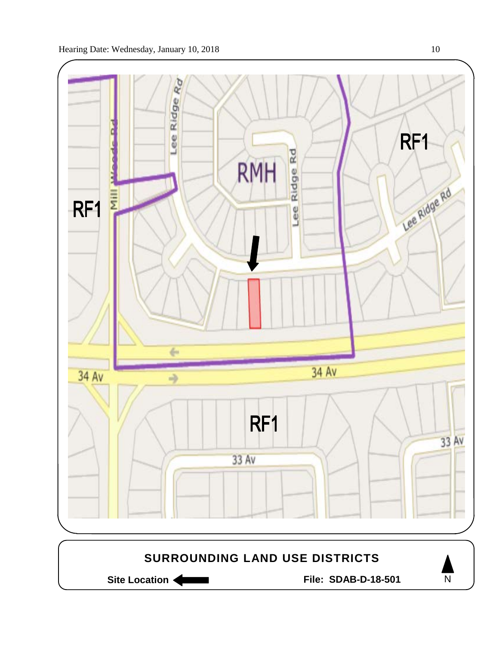



Site Location **Community Contracts** File: SDAB-D-18-501

 $\overline{N}$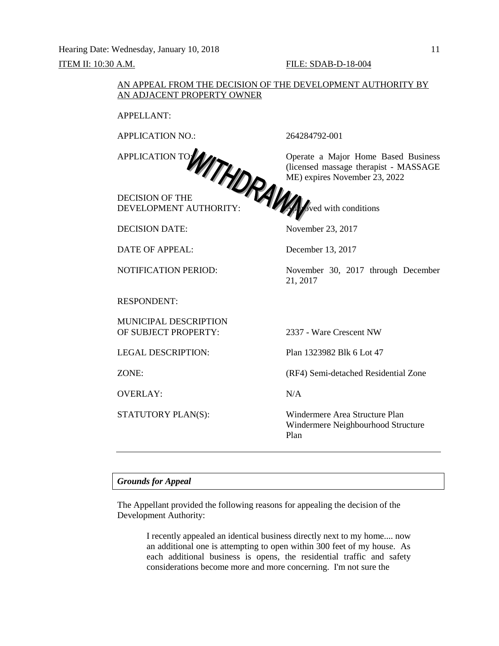Hearing Date: Wednesday, January 10, 2018 11

## ITEM II: 10:30 A.M. FILE: SDAB-D-18-004

## AN APPEAL FROM THE DECISION OF THE DEVELOPMENT AUTHORITY BY AN ADJACENT PROPERTY OWNER

APPELLANT:

APPLICATION NO.: 264284792-001

DECISION OF THE DEVELOPMENT AUTHORITY: **All the Conduct of Authority** Sved with conditions

DECISION DATE: November 23, 2017

DATE OF APPEAL: December 13, 2017

RESPONDENT:

MUNICIPAL DESCRIPTION OF SUBJECT PROPERTY: 2337 - Ware Crescent NW

OVERLAY: N/A

APPLICATION TO: **OPERATION TO:** Operate a Major Home Based Business (licensed massage therapist - MASSAGE ME) expires November 23, 2022

NOTIFICATION PERIOD: November 30, 2017 through December 21, 2017

LEGAL DESCRIPTION: Plan 1323982 Blk 6 Lot 47

ZONE: (RF4) Semi-detached Residential Zone

STATUTORY PLAN(S): Windermere Area Structure Plan Windermere Neighbourhood Structure Plan

## *Grounds for Appeal*

The Appellant provided the following reasons for appealing the decision of the Development Authority:

> I recently appealed an identical business directly next to my home.... now an additional one is attempting to open within 300 feet of my house. As each additional business is opens, the residential traffic and safety considerations become more and more concerning. I'm not sure the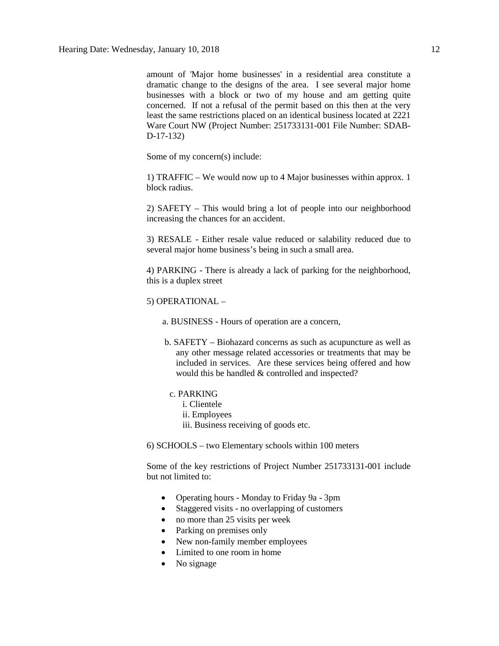amount of 'Major home businesses' in a residential area constitute a dramatic change to the designs of the area. I see several major home businesses with a block or two of my house and am getting quite concerned. If not a refusal of the permit based on this then at the very least the same restrictions placed on an identical business located at 2221 Ware Court NW (Project Number: 251733131-001 File Number: SDAB-D-17-132)

Some of my concern(s) include:

1) TRAFFIC – We would now up to 4 Major businesses within approx. 1 block radius.

2) SAFETY – This would bring a lot of people into our neighborhood increasing the chances for an accident.

3) RESALE - Either resale value reduced or salability reduced due to several major home business's being in such a small area.

4) PARKING - There is already a lack of parking for the neighborhood, this is a duplex street

5) OPERATIONAL –

a. BUSINESS - Hours of operation are a concern,

 b. SAFETY – Biohazard concerns as such as acupuncture as well as any other message related accessories or treatments that may be included in services. Are these services being offered and how would this be handled & controlled and inspected?

## c. PARKING

- i. Clientele
- ii. Employees
- iii. Business receiving of goods etc.

6) SCHOOLS – two Elementary schools within 100 meters

Some of the key restrictions of Project Number 251733131-001 include but not limited to:

- Operating hours Monday to Friday 9a 3pm
- Staggered visits no overlapping of customers
- no more than 25 visits per week
- Parking on premises only
- New non-family member employees
- Limited to one room in home
- No signage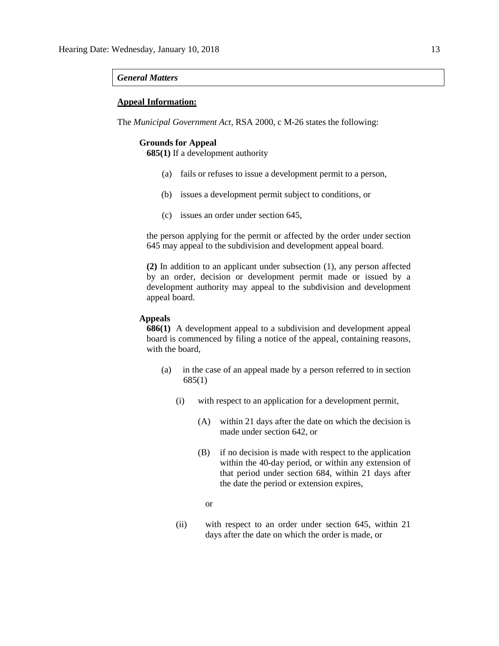#### *General Matters*

## **Appeal Information:**

The *Municipal Government Act*, RSA 2000, c M-26 states the following:

## **Grounds for Appeal**

**685(1)** If a development authority

- (a) fails or refuses to issue a development permit to a person,
- (b) issues a development permit subject to conditions, or
- (c) issues an order under section 645,

the person applying for the permit or affected by the order under section 645 may appeal to the subdivision and development appeal board.

**(2)** In addition to an applicant under subsection (1), any person affected by an order, decision or development permit made or issued by a development authority may appeal to the subdivision and development appeal board.

## **Appeals**

**686(1)** A development appeal to a subdivision and development appeal board is commenced by filing a notice of the appeal, containing reasons, with the board,

- (a) in the case of an appeal made by a person referred to in section 685(1)
	- (i) with respect to an application for a development permit,
		- (A) within 21 days after the date on which the decision is made under section 642, or
		- (B) if no decision is made with respect to the application within the 40-day period, or within any extension of that period under section 684, within 21 days after the date the period or extension expires,
			- or
	- (ii) with respect to an order under section 645, within 21 days after the date on which the order is made, or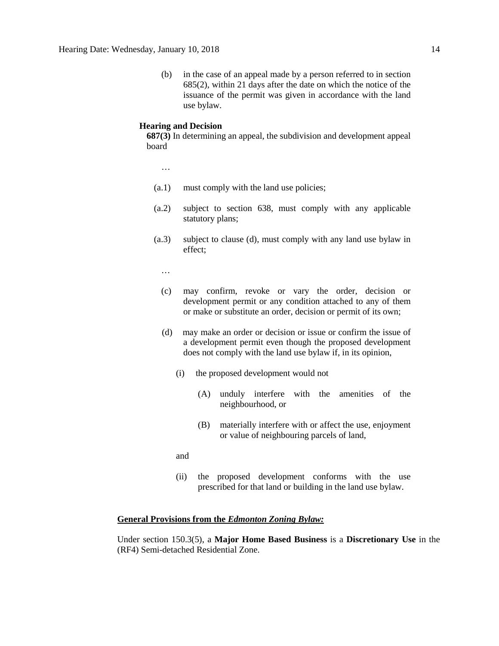(b) in the case of an appeal made by a person referred to in section 685(2), within 21 days after the date on which the notice of the issuance of the permit was given in accordance with the land use bylaw.

## **Hearing and Decision**

**687(3)** In determining an appeal, the subdivision and development appeal board

…

- (a.1) must comply with the land use policies;
- (a.2) subject to section 638, must comply with any applicable statutory plans;
- (a.3) subject to clause (d), must comply with any land use bylaw in effect;

…

- (c) may confirm, revoke or vary the order, decision or development permit or any condition attached to any of them or make or substitute an order, decision or permit of its own;
- (d) may make an order or decision or issue or confirm the issue of a development permit even though the proposed development does not comply with the land use bylaw if, in its opinion,
	- (i) the proposed development would not
		- (A) unduly interfere with the amenities of the neighbourhood, or
		- (B) materially interfere with or affect the use, enjoyment or value of neighbouring parcels of land,

and

(ii) the proposed development conforms with the use prescribed for that land or building in the land use bylaw.

### **General Provisions from the** *Edmonton Zoning Bylaw:*

Under section 150.3(5), a **Major Home Based Business** is a **Discretionary Use** in the (RF4) Semi-detached Residential Zone.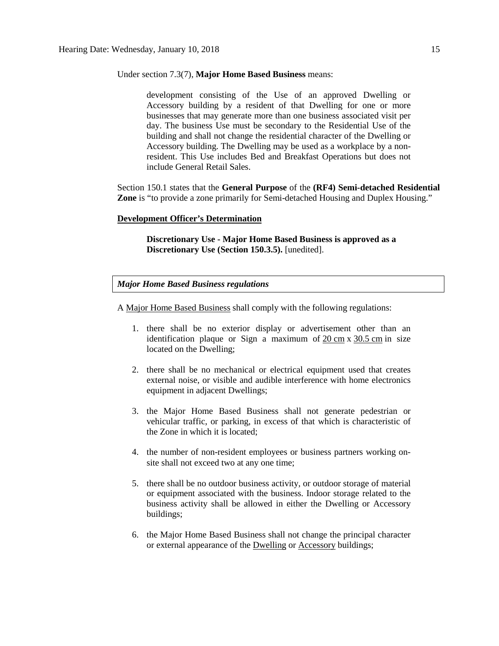#### Under section 7.3(7), **Major Home Based Business** means:

development consisting of the Use of an approved Dwelling or Accessory building by a resident of that Dwelling for one or more businesses that may generate more than one business associated visit per day. The business Use must be secondary to the Residential Use of the building and shall not change the residential character of the Dwelling or Accessory building. The Dwelling may be used as a workplace by a nonresident. This Use includes Bed and Breakfast Operations but does not include General Retail Sales.

Section 150.1 states that the **General Purpose** of the **(RF4) Semi-detached Residential Zone** is "to provide a zone primarily for Semi-detached Housing and Duplex Housing."

#### **Development Officer's Determination**

**Discretionary Use - Major Home Based Business is approved as a Discretionary Use (Section 150.3.5).** [unedited].

*Major Home Based Business regulations*

A [Major Home Based Business](javascript:void(0);) shall comply with the following regulations:

- 1. there shall be no exterior display or advertisement other than an identification plaque or Sign a maximum of  $20 \text{ cm} \times 30.5 \text{ cm}$  $20 \text{ cm} \times 30.5 \text{ cm}$  $20 \text{ cm} \times 30.5 \text{ cm}$  $20 \text{ cm} \times 30.5 \text{ cm}$  $20 \text{ cm} \times 30.5 \text{ cm}$  in size located on the Dwelling;
- 2. there shall be no mechanical or electrical equipment used that creates external noise, or visible and audible interference with home electronics equipment in adjacent Dwellings;
- 3. the Major Home Based Business shall not generate pedestrian or vehicular traffic, or parking, in excess of that which is characteristic of the Zone in which it is located;
- 4. the number of non-resident employees or business partners working onsite shall not exceed two at any one time;
- 5. there shall be no outdoor business activity, or outdoor storage of material or equipment associated with the business. Indoor storage related to the business activity shall be allowed in either the Dwelling or Accessory buildings;
- 6. the Major Home Based Business shall not change the principal character or external appearance of the [Dwelling](javascript:void(0);) or [Accessory](javascript:void(0);) buildings;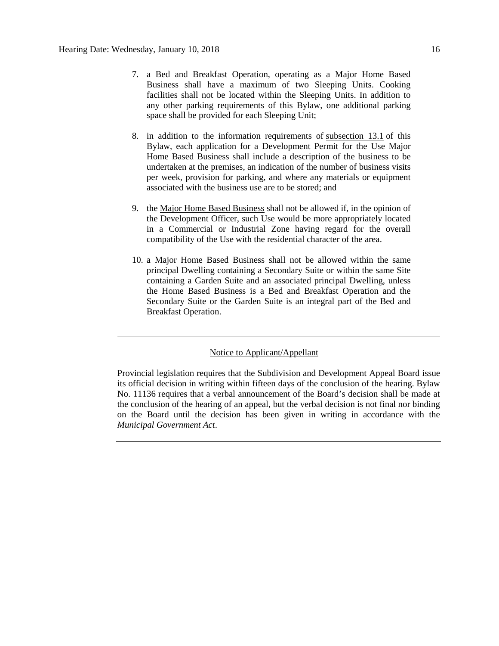- 7. a Bed and Breakfast Operation, operating as a Major Home Based Business shall have a maximum of two Sleeping Units. Cooking facilities shall not be located within the Sleeping Units. In addition to any other parking requirements of this Bylaw, one additional parking space shall be provided for each Sleeping Unit;
- 8. in addition to the information requirements of [subsection 13.1](http://webdocs.edmonton.ca/InfraPlan/zoningbylaw/ZoningBylaw/Part1/Administrative/13__Development_Permit_Application.htm) of this Bylaw, each application for a Development Permit for the Use Major Home Based Business shall include a description of the business to be undertaken at the premises, an indication of the number of business visits per week, provision for parking, and where any materials or equipment associated with the business use are to be stored; and
- 9. the [Major Home Based Business](javascript:void(0);) shall not be allowed if, in the opinion of the Development Officer, such Use would be more appropriately located in a Commercial or Industrial Zone having regard for the overall compatibility of the Use with the residential character of the area.
- 10. a Major Home Based Business shall not be allowed within the same principal Dwelling containing a Secondary Suite or within the same Site containing a Garden Suite and an associated principal Dwelling, unless the Home Based Business is a Bed and Breakfast Operation and the Secondary Suite or the Garden Suite is an integral part of the Bed and Breakfast Operation.

## Notice to Applicant/Appellant

Provincial legislation requires that the Subdivision and Development Appeal Board issue its official decision in writing within fifteen days of the conclusion of the hearing. Bylaw No. 11136 requires that a verbal announcement of the Board's decision shall be made at the conclusion of the hearing of an appeal, but the verbal decision is not final nor binding on the Board until the decision has been given in writing in accordance with the *Municipal Government Act*.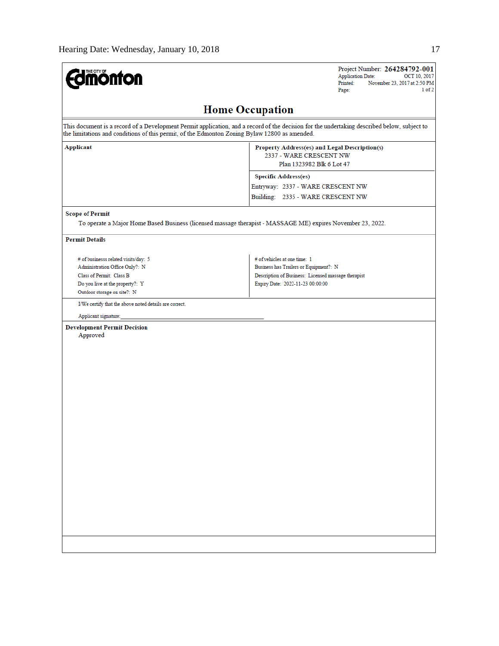| <b>dmönton</b>                                                                                | Project Number: 264284792-001<br><b>Application Date:</b><br>OCT 10, 2017<br>Printed:<br>November 23, 2017 at 2:50 PM<br>1 of 2<br>Page:    |
|-----------------------------------------------------------------------------------------------|---------------------------------------------------------------------------------------------------------------------------------------------|
|                                                                                               | <b>Home Occupation</b>                                                                                                                      |
| the limitations and conditions of this permit, of the Edmonton Zoning Bylaw 12800 as amended. | This document is a record of a Development Permit application, and a record of the decision for the undertaking described below, subject to |
| <b>Applicant</b>                                                                              | Property Address(es) and Legal Description(s)<br>2337 - WARE CRESCENT NW<br>Plan 1323982 Blk 6 Lot 47                                       |
|                                                                                               | <b>Specific Address(es)</b>                                                                                                                 |
|                                                                                               | Entryway: 2337 - WARE CRESCENT NW                                                                                                           |
|                                                                                               | Building: 2335 - WARE CRESCENT NW                                                                                                           |
| <b>Scope of Permit</b>                                                                        |                                                                                                                                             |
|                                                                                               | To operate a Major Home Based Business (licensed massage therapist - MASSAGE ME) expires November 23, 2022.                                 |
| <b>Permit Details</b>                                                                         |                                                                                                                                             |
| # of businesss related visits/day: 5                                                          | # of vehicles at one time: 1                                                                                                                |
| Administration Office Only?: N                                                                | Business has Trailers or Equipment?: N                                                                                                      |
| Class of Permit: Class B                                                                      | Description of Business: Licensed massage therapist                                                                                         |
| Do you live at the property?: Y<br>Outdoor storage on site?: N                                | Expiry Date: 2022-11-23 00:00:00                                                                                                            |
| I/We certify that the above noted details are correct.                                        |                                                                                                                                             |
| Applicant signature:                                                                          |                                                                                                                                             |
| <b>Development Permit Decision</b><br>Approved                                                |                                                                                                                                             |
|                                                                                               |                                                                                                                                             |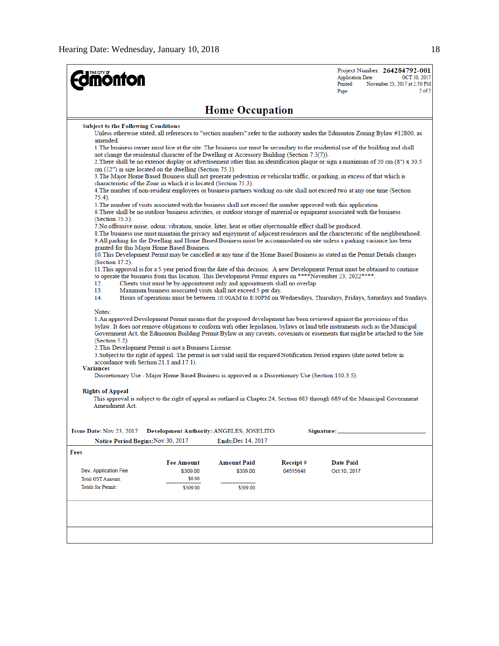| <b>monton</b>                                                                                                                                                                                                                                                                                                                                                                                                                                                                                                                                                                                                                                                                                                                                                                                                                                                                                                                                                                                                                                                                                                            |                                              |                                                                                                                                                |                      | <b>Application Date:</b><br>Printed:<br>Page: | Project Number: 264284792-001<br>OCT 10, 2017<br>November 23, 2017 at 2:50 PM<br>$2$ of $2$                     |  |  |
|--------------------------------------------------------------------------------------------------------------------------------------------------------------------------------------------------------------------------------------------------------------------------------------------------------------------------------------------------------------------------------------------------------------------------------------------------------------------------------------------------------------------------------------------------------------------------------------------------------------------------------------------------------------------------------------------------------------------------------------------------------------------------------------------------------------------------------------------------------------------------------------------------------------------------------------------------------------------------------------------------------------------------------------------------------------------------------------------------------------------------|----------------------------------------------|------------------------------------------------------------------------------------------------------------------------------------------------|----------------------|-----------------------------------------------|-----------------------------------------------------------------------------------------------------------------|--|--|
| <b>Home Occupation</b>                                                                                                                                                                                                                                                                                                                                                                                                                                                                                                                                                                                                                                                                                                                                                                                                                                                                                                                                                                                                                                                                                                   |                                              |                                                                                                                                                |                      |                                               |                                                                                                                 |  |  |
| <b>Subject to the Following Conditions</b><br>Unless otherwise stated, all references to "section numbers" refer to the authority under the Edmonton Zoning Bylaw #12800, as<br>amended.<br>1. The business owner must live at the site. The business use must be secondary to the residential use of the building and shall<br>not change the residential character of the Dwelling or Accessory Building (Section 7.3(7)).<br>2. There shall be no exterior display or advertisement other than an identification plaque or sign a maximum of 20 cm (8") x 30.5<br>$cm(12")$ in size located on the dwelling (Section 75.1).<br>3. The Major Home Based Business shall not generate pedestrian or vehicular traffic, or parking, in excess of that which is<br>characteristic of the Zone in which it is located (Section 75.3).<br>4. The number of non-resident employees or business partners working on-site shall not exceed two at any one time (Section<br>75.4).                                                                                                                                               |                                              |                                                                                                                                                |                      |                                               |                                                                                                                 |  |  |
| 5. The number of visits associated with the business shall not exceed the number approved with this application.<br>6. There shall be no outdoor business activities, or outdoor storage of material or equipment associated with the business<br>$(Section 75.5)$ .<br>7. No offensive noise, odour, vibration, smoke, litter, heat or other objectionable effect shall be produced.<br>8. The business use must maintain the privacy and enjoyment of adjacent residences and the characteristic of the neighbourhood.<br>9. All parking for the Dwelling and Home Based Business must be accommodated on site unless a parking variance has been<br>granted for this Major Home Based Business.<br>10. This Development Permit may be cancelled at any time if the Home Based Business as stated in the Permit Details changes<br>(Section 17.2).<br>11. This approval is for a 5 year period from the date of this decision. A new Development Permit must be obtained to continue<br>to operate the business from this location. This Development Permit expires on ****November 23, 2022****.<br>12.<br>13.<br>14. |                                              | Clients visit must be by-appointment only and appointments shall no overlap.<br>Maximum business associated visits shall not exceed 5 per day. |                      |                                               | Hours of operations must be between 10:00AM to 8:00PM on Wednesdays, Thursdays, Fridays, Saturdays and Sundays. |  |  |
| Notes:<br>1. An approved Development Permit means that the proposed development has been reviewed against the provisions of this<br>bylaw. It does not remove obligations to conform with other legislation, bylaws or land title instruments such as the Municipal<br>Government Act, the Edmonton Building Permit Bylaw or any caveats, covenants or easements that might be attached to the Site<br>$(Section 5.2)$ .<br>2. This Development Permit is not a Business License.<br>3. Subject to the right of appeal. The permit is not valid until the required Notification Period expires (date noted below in<br>accordance with Section 21.1 and 17.1).<br><b>Variances</b><br>Discretionary Use - Major Home Based Business is approved as a Discretionary Use (Section 150.3.5).                                                                                                                                                                                                                                                                                                                                |                                              |                                                                                                                                                |                      |                                               |                                                                                                                 |  |  |
| <b>Rights of Appeal</b><br>This approval is subject to the right of appeal as outlined in Chapter 24, Section 683 through 689 of the Municipal Government<br>Amendment Act.                                                                                                                                                                                                                                                                                                                                                                                                                                                                                                                                                                                                                                                                                                                                                                                                                                                                                                                                              |                                              |                                                                                                                                                |                      |                                               |                                                                                                                 |  |  |
| <b>Issue Date: Nov 23, 2017</b><br>Notice Period Begins: Nov 30, 2017                                                                                                                                                                                                                                                                                                                                                                                                                                                                                                                                                                                                                                                                                                                                                                                                                                                                                                                                                                                                                                                    |                                              | Development Authority: ANGELES, JOSELITO<br>Ends:Dec 14, 2017                                                                                  |                      | Signature:                                    |                                                                                                                 |  |  |
| Fees                                                                                                                                                                                                                                                                                                                                                                                                                                                                                                                                                                                                                                                                                                                                                                                                                                                                                                                                                                                                                                                                                                                     |                                              |                                                                                                                                                |                      |                                               |                                                                                                                 |  |  |
| Dev. Application Fee<br><b>Total GST Amount:</b><br><b>Totals for Permit:</b>                                                                                                                                                                                                                                                                                                                                                                                                                                                                                                                                                                                                                                                                                                                                                                                                                                                                                                                                                                                                                                            | Fee Amount<br>\$309.00<br>\$0.00<br>\$309.00 | <b>Amount Paid</b><br>\$309.00<br>\$309.00                                                                                                     | Receipt#<br>04515648 | <b>Date Paid</b><br>Oct 10, 2017              |                                                                                                                 |  |  |
|                                                                                                                                                                                                                                                                                                                                                                                                                                                                                                                                                                                                                                                                                                                                                                                                                                                                                                                                                                                                                                                                                                                          |                                              |                                                                                                                                                |                      |                                               |                                                                                                                 |  |  |